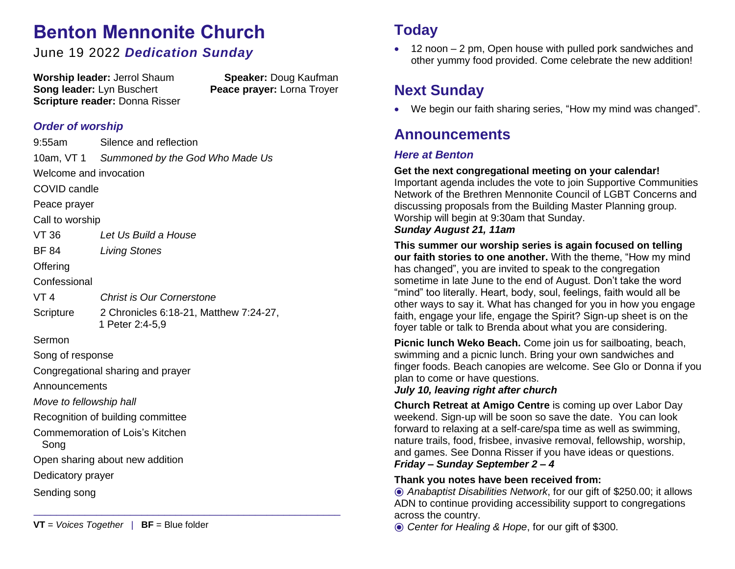# **Benton Mennonite Church**

## June 19 2022 *Dedication Sunday*

**Worship leader:** Jerrol Shaum **Speaker:** Doug Kaufman **Song leader:** Lyn Buschert **Peace prayer:** Lorna Troyer **Scripture reader:** Donna Risser

## *Order of worship*

|                                   | 9:55am Silence and reflection                             |
|-----------------------------------|-----------------------------------------------------------|
|                                   | 10am, VT 1 Summoned by the God Who Made Us                |
| Welcome and invocation            |                                                           |
| <b>COVID candle</b>               |                                                           |
| Peace prayer                      |                                                           |
| Call to worship                   |                                                           |
| <b>VT 36</b>                      | Let Us Build a House                                      |
| <b>BF 84</b>                      | <b>Living Stones</b>                                      |
| Offering                          |                                                           |
| Confessional                      |                                                           |
| VT 4                              | <b>Christ is Our Cornerstone</b>                          |
| Scripture                         | 2 Chronicles 6:18-21, Matthew 7:24-27,<br>1 Peter 2:4-5,9 |
| Sermon                            |                                                           |
| Song of response                  |                                                           |
| Congregational sharing and prayer |                                                           |
| Announcements                     |                                                           |
| Move to fellowship hall           |                                                           |
| Recognition of building committee |                                                           |
| Song                              | <b>Commemoration of Lois's Kitchen</b>                    |
|                                   | Open sharing about new addition                           |
| Dedicatory prayer                 |                                                           |
| Sending song                      |                                                           |
|                                   |                                                           |

\_\_\_\_\_\_\_\_\_\_\_\_\_\_\_\_\_\_\_\_\_\_\_\_\_\_\_\_\_\_\_\_\_\_\_\_\_\_\_\_\_\_\_\_\_\_\_\_\_\_\_\_\_\_

## **Today**

• 12 noon – 2 pm, Open house with pulled pork sandwiches and other yummy food provided. Come celebrate the new addition!

## **Next Sunday**

• We begin our faith sharing series, "How my mind was changed".

## **Announcements**

### *Here at Benton*

#### **Get the next congregational meeting on your calendar!**

Important agenda includes the vote to join Supportive Communities Network of the Brethren Mennonite Council of LGBT Concerns and discussing proposals from the Building Master Planning group. Worship will begin at 9:30am that Sunday.

### *Sunday August 21, 11am*

**This summer our worship series is again focused on telling our faith stories to one another.** With the theme, "How my mind has changed", you are invited to speak to the congregation sometime in late June to the end of August. Don't take the word "mind" too literally. Heart, body, soul, feelings, faith would all be other ways to say it. What has changed for you in how you engage faith, engage your life, engage the Spirit? Sign-up sheet is on the foyer table or talk to Brenda about what you are considering.

**Picnic lunch Weko Beach.** Come join us for sailboating, beach, swimming and a picnic lunch. Bring your own sandwiches and finger foods. Beach canopies are welcome. See Glo or Donna if you plan to come or have questions.

### *July 10, leaving right after church*

**Church Retreat at Amigo Centre** is coming up over Labor Day weekend. Sign-up will be soon so save the date. You can look forward to relaxing at a self-care/spa time as well as swimming, nature trails, food, frisbee, invasive removal, fellowship, worship, and games. See Donna Risser if you have ideas or questions. *Friday – Sunday September 2 – 4*

### **Thank you notes have been received from:**

⦿ *Anabaptist Disabilities Network*, for our gift of \$250.00; it allows ADN to continue providing accessibility support to congregations across the country.

⦿ *Center for Healing & Hope*, for our gift of \$300.